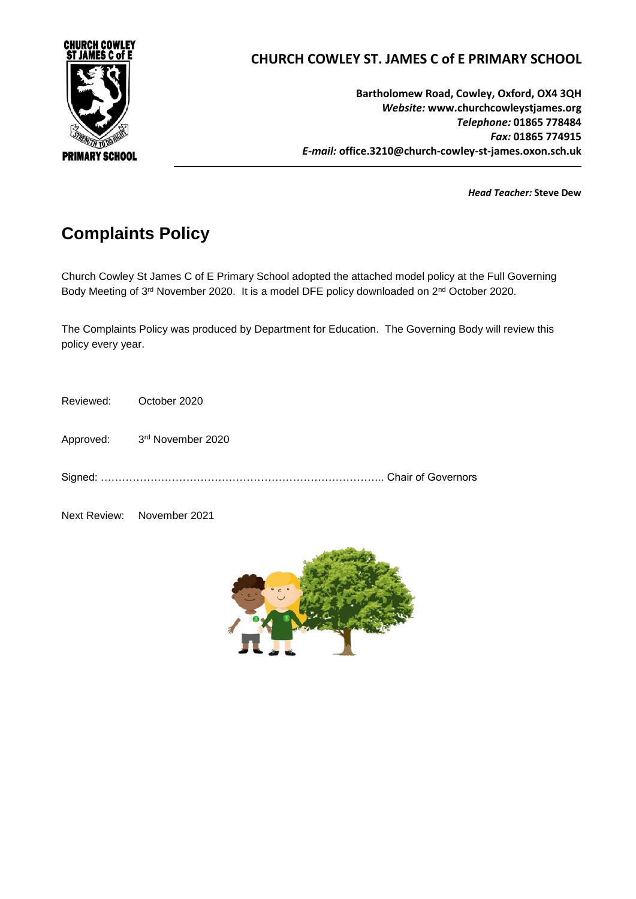

## **CHURCH COWLEY ST. JAMES C of E PRIMARY SCHOOL**

**Bartholomew Road, Cowley, Oxford, OX4 3QH** *Website:* **www[.churchcowleystjames.org](mailto:office.3210@church-cowley-st-james.oxon.sch.uk)** *Telephone:* **01865 778484** *Fax:* **01865 774915** *E-mail:* **office.3210@church-cowley-st-james.oxon.sch.uk**

*Head Teacher:* **Steve Dew**

# **Complaints Policy**

Church Cowley St James C of E Primary School adopted the attached model policy at the Full Governing Body Meeting of 3<sup>rd</sup> November 2020. It is a model DFE policy downloaded on 2<sup>nd</sup> October 2020.

The Complaints Policy was produced by Department for Education. The Governing Body will review this policy every year.

| Reviewed: October 2020 |                             |
|------------------------|-----------------------------|
|                        | Approved: 3rd November 2020 |
|                        |                             |

Next Review: November 2021

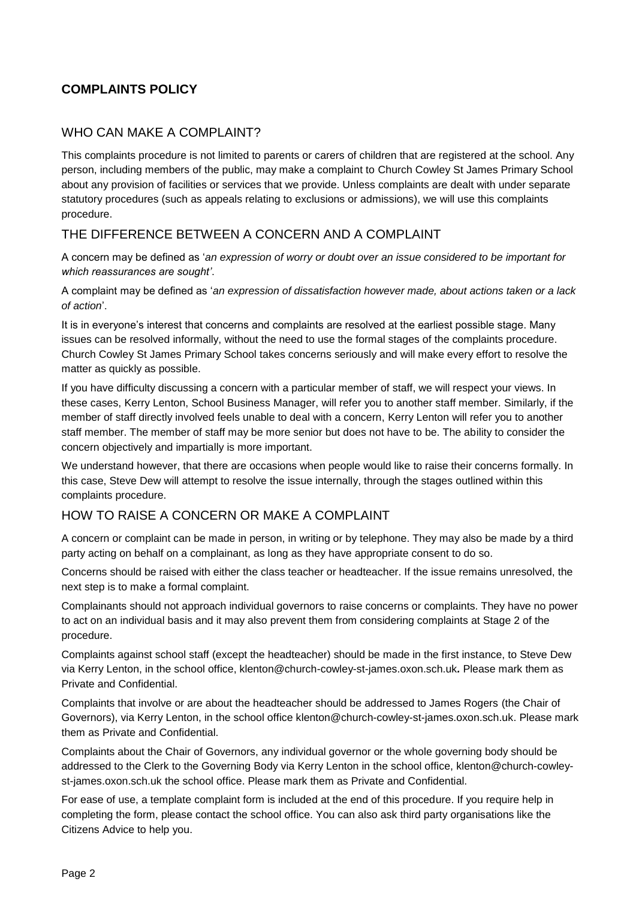### **COMPLAINTS POLICY**

### WHO CAN MAKE A COMPI AINT?

This complaints procedure is not limited to parents or carers of children that are registered at the school. Any person, including members of the public, may make a complaint to Church Cowley St James Primary School about any provision of facilities or services that we provide. Unless complaints are dealt with under separate statutory procedures (such as appeals relating to exclusions or admissions), we will use this complaints procedure.

### THE DIFFERENCE BETWEEN A CONCERN AND A COMPLAINT

A concern may be defined as '*an expression of worry or doubt over an issue considered to be important for which reassurances are sought'*.

A complaint may be defined as '*an expression of dissatisfaction however made, about actions taken or a lack of action*'.

It is in everyone's interest that concerns and complaints are resolved at the earliest possible stage. Many issues can be resolved informally, without the need to use the formal stages of the complaints procedure. Church Cowley St James Primary School takes concerns seriously and will make every effort to resolve the matter as quickly as possible.

If you have difficulty discussing a concern with a particular member of staff, we will respect your views. In these cases, Kerry Lenton, School Business Manager, will refer you to another staff member. Similarly, if the member of staff directly involved feels unable to deal with a concern, Kerry Lenton will refer you to another staff member. The member of staff may be more senior but does not have to be. The ability to consider the concern objectively and impartially is more important.

We understand however, that there are occasions when people would like to raise their concerns formally. In this case, Steve Dew will attempt to resolve the issue internally, through the stages outlined within this complaints procedure.

### HOW TO RAISE A CONCERN OR MAKE A COMPLAINT

A concern or complaint can be made in person, in writing or by telephone. They may also be made by a third party acting on behalf on a complainant, as long as they have appropriate consent to do so.

Concerns should be raised with either the class teacher or headteacher. If the issue remains unresolved, the next step is to make a formal complaint.

Complainants should not approach individual governors to raise concerns or complaints. They have no power to act on an individual basis and it may also prevent them from considering complaints at Stage 2 of the procedure.

Complaints against school staff (except the headteacher) should be made in the first instance, to Steve Dew via Kerry Lenton, in the school office, klenton@church-cowley-st-james.oxon.sch.uk*.* Please mark them as Private and Confidential.

Complaints that involve or are about the headteacher should be addressed to James Rogers (the Chair of Governors), via Kerry Lenton, in the school office klenton@church-cowley-st-james.oxon.sch.uk. Please mark them as Private and Confidential.

Complaints about the Chair of Governors, any individual governor or the whole governing body should be addressed to the Clerk to the Governing Body via Kerry Lenton in the school office, klenton@church-cowleyst-james.oxon.sch.uk the school office. Please mark them as Private and Confidential.

For ease of use, a template complaint form is included at the end of this procedure. If you require help in completing the form, please contact the school office. You can also ask third party organisations like the Citizens Advice to help you.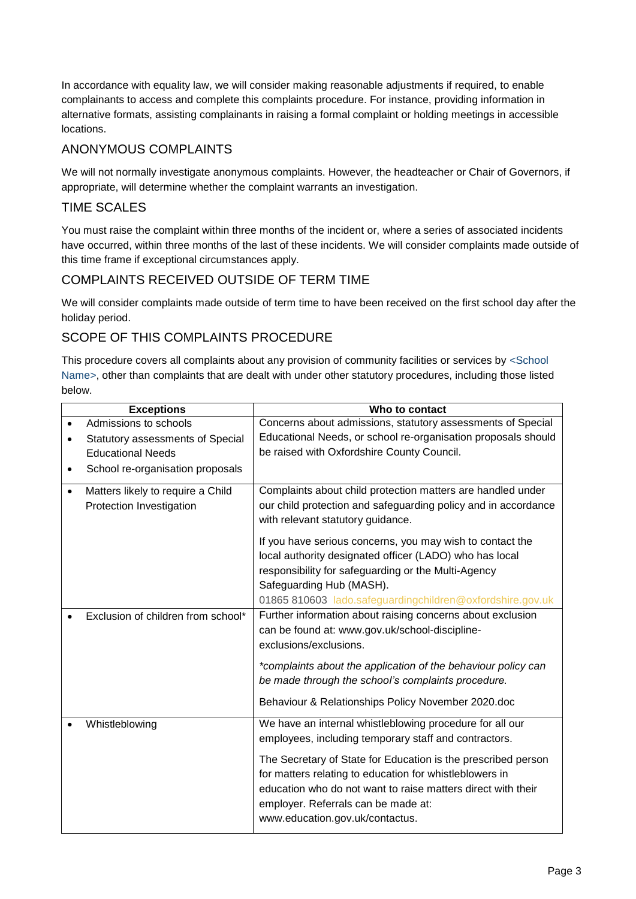In accordance with equality law, we will consider making reasonable adjustments if required, to enable complainants to access and complete this complaints procedure. For instance, providing information in alternative formats, assisting complainants in raising a formal complaint or holding meetings in accessible locations.

### ANONYMOUS COMPLAINTS

We will not normally investigate anonymous complaints. However, the headteacher or Chair of Governors, if appropriate, will determine whether the complaint warrants an investigation.

### TIME SCALES

You must raise the complaint within three months of the incident or, where a series of associated incidents have occurred, within three months of the last of these incidents. We will consider complaints made outside of this time frame if exceptional circumstances apply.

### COMPLAINTS RECEIVED OUTSIDE OF TERM TIME

We will consider complaints made outside of term time to have been received on the first school day after the holiday period.

### SCOPE OF THIS COMPLAINTS PROCEDURE

This procedure covers all complaints about any provision of community facilities or services by <School Name>, other than complaints that are dealt with under other statutory procedures, including those listed below.

| <b>Exceptions</b> |                                    | Who to contact                                                 |
|-------------------|------------------------------------|----------------------------------------------------------------|
| $\bullet$         | Admissions to schools              | Concerns about admissions, statutory assessments of Special    |
| $\bullet$         | Statutory assessments of Special   | Educational Needs, or school re-organisation proposals should  |
|                   | <b>Educational Needs</b>           | be raised with Oxfordshire County Council.                     |
| $\bullet$         | School re-organisation proposals   |                                                                |
| $\bullet$         | Matters likely to require a Child  | Complaints about child protection matters are handled under    |
|                   | Protection Investigation           | our child protection and safeguarding policy and in accordance |
|                   |                                    | with relevant statutory guidance.                              |
|                   |                                    | If you have serious concerns, you may wish to contact the      |
|                   |                                    | local authority designated officer (LADO) who has local        |
|                   |                                    | responsibility for safeguarding or the Multi-Agency            |
|                   |                                    | Safeguarding Hub (MASH).                                       |
|                   |                                    | 01865 810603 lado.safeguardingchildren@oxfordshire.gov.uk      |
|                   | Exclusion of children from school* | Further information about raising concerns about exclusion     |
|                   |                                    | can be found at: www.gov.uk/school-discipline-                 |
|                   |                                    | exclusions/exclusions.                                         |
|                   |                                    | *complaints about the application of the behaviour policy can  |
|                   |                                    | be made through the school's complaints procedure.             |
|                   |                                    | Behaviour & Relationships Policy November 2020.doc             |
|                   | Whistleblowing                     | We have an internal whistleblowing procedure for all our       |
|                   |                                    | employees, including temporary staff and contractors.          |
|                   |                                    | The Secretary of State for Education is the prescribed person  |
|                   |                                    | for matters relating to education for whistleblowers in        |
|                   |                                    | education who do not want to raise matters direct with their   |
|                   |                                    | employer. Referrals can be made at:                            |
|                   |                                    | www.education.gov.uk/contactus.                                |
|                   |                                    |                                                                |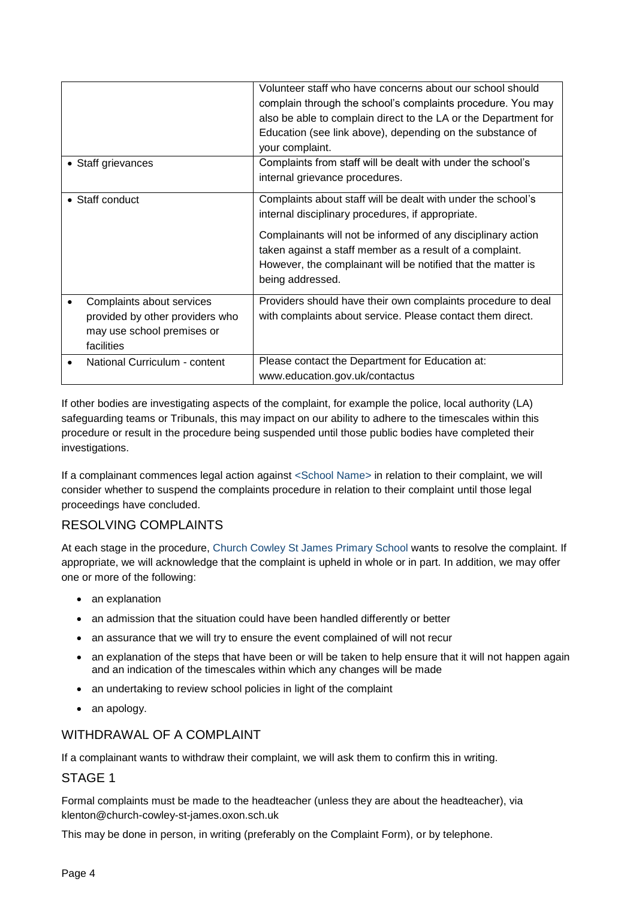|                                                                                                          | Volunteer staff who have concerns about our school should<br>complain through the school's complaints procedure. You may<br>also be able to complain direct to the LA or the Department for<br>Education (see link above), depending on the substance of<br>your complaint.                                                       |
|----------------------------------------------------------------------------------------------------------|-----------------------------------------------------------------------------------------------------------------------------------------------------------------------------------------------------------------------------------------------------------------------------------------------------------------------------------|
| • Staff grievances                                                                                       | Complaints from staff will be dealt with under the school's<br>internal grievance procedures.                                                                                                                                                                                                                                     |
| • Staff conduct                                                                                          | Complaints about staff will be dealt with under the school's<br>internal disciplinary procedures, if appropriate.<br>Complainants will not be informed of any disciplinary action<br>taken against a staff member as a result of a complaint.<br>However, the complainant will be notified that the matter is<br>being addressed. |
| Complaints about services<br>provided by other providers who<br>may use school premises or<br>facilities | Providers should have their own complaints procedure to deal<br>with complaints about service. Please contact them direct.                                                                                                                                                                                                        |
| National Curriculum - content                                                                            | Please contact the Department for Education at:<br>www.education.gov.uk/contactus                                                                                                                                                                                                                                                 |

If other bodies are investigating aspects of the complaint, for example the police, local authority (LA) safeguarding teams or Tribunals, this may impact on our ability to adhere to the timescales within this procedure or result in the procedure being suspended until those public bodies have completed their investigations.

If a complainant commences legal action against <School Name> in relation to their complaint, we will consider whether to suspend the complaints procedure in relation to their complaint until those legal proceedings have concluded.

### RESOLVING COMPLAINTS

At each stage in the procedure, Church Cowley St James Primary School wants to resolve the complaint. If appropriate, we will acknowledge that the complaint is upheld in whole or in part. In addition, we may offer one or more of the following:

- an explanation
- an admission that the situation could have been handled differently or better
- an assurance that we will try to ensure the event complained of will not recur
- an explanation of the steps that have been or will be taken to help ensure that it will not happen again and an indication of the timescales within which any changes will be made
- an undertaking to review school policies in light of the complaint
- an apology.

### WITHDRAWAL OF A COMPLAINT

If a complainant wants to withdraw their complaint, we will ask them to confirm this in writing.

#### STAGE 1

Formal complaints must be made to the headteacher (unless they are about the headteacher), via [klenton@church-cowley-st-james.oxon.sch.uk](mailto:klenton@church-cowley-st-james.oxon.sch.uk)

This may be done in person, in writing (preferably on the Complaint Form), or by telephone.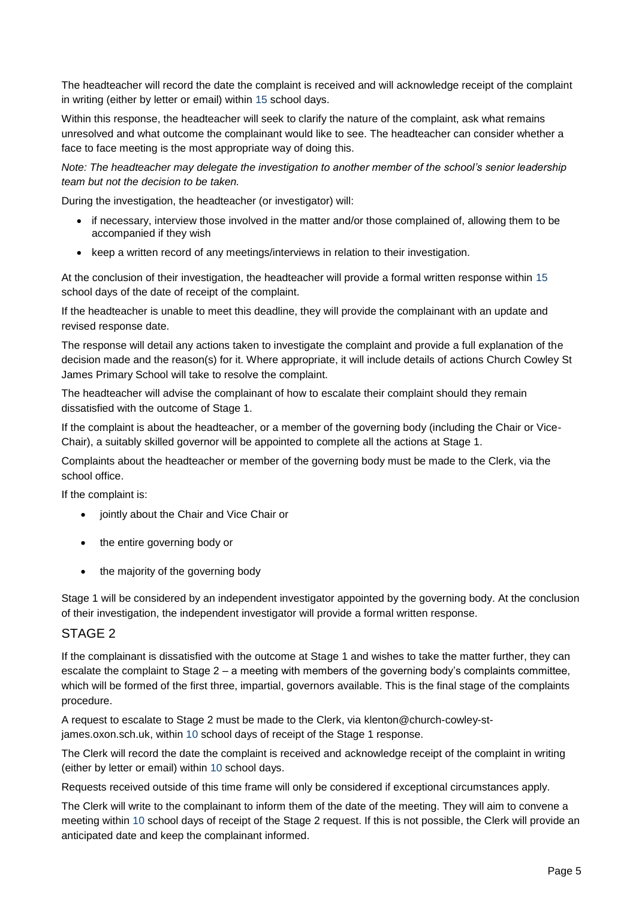The headteacher will record the date the complaint is received and will acknowledge receipt of the complaint in writing (either by letter or email) within 15 school days.

Within this response, the headteacher will seek to clarify the nature of the complaint, ask what remains unresolved and what outcome the complainant would like to see. The headteacher can consider whether a face to face meeting is the most appropriate way of doing this.

*Note: The headteacher may delegate the investigation to another member of the school's senior leadership team but not the decision to be taken.*

During the investigation, the headteacher (or investigator) will:

- if necessary, interview those involved in the matter and/or those complained of, allowing them to be accompanied if they wish
- keep a written record of any meetings/interviews in relation to their investigation.

At the conclusion of their investigation, the headteacher will provide a formal written response within 15 school days of the date of receipt of the complaint.

If the headteacher is unable to meet this deadline, they will provide the complainant with an update and revised response date.

The response will detail any actions taken to investigate the complaint and provide a full explanation of the decision made and the reason(s) for it. Where appropriate, it will include details of actions Church Cowley St James Primary School will take to resolve the complaint.

The headteacher will advise the complainant of how to escalate their complaint should they remain dissatisfied with the outcome of Stage 1.

If the complaint is about the headteacher, or a member of the governing body (including the Chair or Vice-Chair), a suitably skilled governor will be appointed to complete all the actions at Stage 1.

Complaints about the headteacher or member of the governing body must be made to the Clerk, via the school office.

If the complaint is:

- jointly about the Chair and Vice Chair or
- the entire governing body or
- the majority of the governing body

Stage 1 will be considered by an independent investigator appointed by the governing body. At the conclusion of their investigation, the independent investigator will provide a formal written response.

#### STAGE 2

If the complainant is dissatisfied with the outcome at Stage 1 and wishes to take the matter further, they can escalate the complaint to Stage 2 – a meeting with members of the governing body's complaints committee, which will be formed of the first three, impartial, governors available. This is the final stage of the complaints procedure.

A request to escalate to Stage 2 must be made to the Clerk, via klenton@church-cowley-stjames.oxon.sch.uk, within 10 school days of receipt of the Stage 1 response.

The Clerk will record the date the complaint is received and acknowledge receipt of the complaint in writing (either by letter or email) within 10 school days.

Requests received outside of this time frame will only be considered if exceptional circumstances apply.

The Clerk will write to the complainant to inform them of the date of the meeting. They will aim to convene a meeting within 10 school days of receipt of the Stage 2 request. If this is not possible, the Clerk will provide an anticipated date and keep the complainant informed.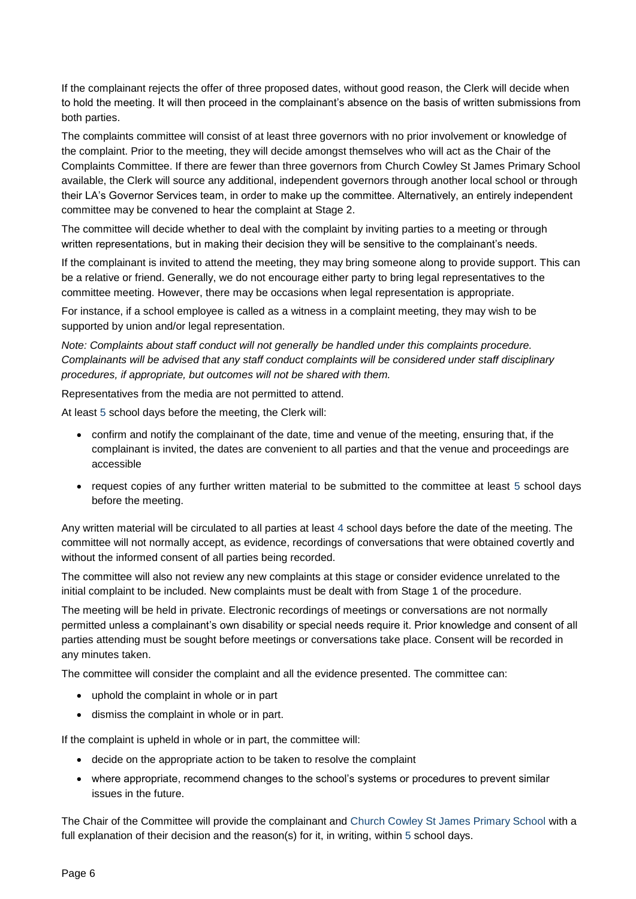If the complainant rejects the offer of three proposed dates, without good reason, the Clerk will decide when to hold the meeting. It will then proceed in the complainant's absence on the basis of written submissions from both parties.

The complaints committee will consist of at least three governors with no prior involvement or knowledge of the complaint. Prior to the meeting, they will decide amongst themselves who will act as the Chair of the Complaints Committee. If there are fewer than three governors from Church Cowley St James Primary School available, the Clerk will source any additional, independent governors through another local school or through their LA's Governor Services team, in order to make up the committee. Alternatively, an entirely independent committee may be convened to hear the complaint at Stage 2.

The committee will decide whether to deal with the complaint by inviting parties to a meeting or through written representations, but in making their decision they will be sensitive to the complainant's needs.

If the complainant is invited to attend the meeting, they may bring someone along to provide support. This can be a relative or friend. Generally, we do not encourage either party to bring legal representatives to the committee meeting. However, there may be occasions when legal representation is appropriate.

For instance, if a school employee is called as a witness in a complaint meeting, they may wish to be supported by union and/or legal representation.

*Note: Complaints about staff conduct will not generally be handled under this complaints procedure. Complainants will be advised that any staff conduct complaints will be considered under staff disciplinary procedures, if appropriate, but outcomes will not be shared with them.* 

Representatives from the media are not permitted to attend.

At least 5 school days before the meeting, the Clerk will:

- confirm and notify the complainant of the date, time and venue of the meeting, ensuring that, if the complainant is invited, the dates are convenient to all parties and that the venue and proceedings are accessible
- request copies of any further written material to be submitted to the committee at least 5 school days before the meeting.

Any written material will be circulated to all parties at least 4 school days before the date of the meeting. The committee will not normally accept, as evidence, recordings of conversations that were obtained covertly and without the informed consent of all parties being recorded.

The committee will also not review any new complaints at this stage or consider evidence unrelated to the initial complaint to be included. New complaints must be dealt with from Stage 1 of the procedure.

The meeting will be held in private. Electronic recordings of meetings or conversations are not normally permitted unless a complainant's own disability or special needs require it. Prior knowledge and consent of all parties attending must be sought before meetings or conversations take place. Consent will be recorded in any minutes taken.

The committee will consider the complaint and all the evidence presented. The committee can:

- uphold the complaint in whole or in part
- dismiss the complaint in whole or in part.

If the complaint is upheld in whole or in part, the committee will:

- decide on the appropriate action to be taken to resolve the complaint
- where appropriate, recommend changes to the school's systems or procedures to prevent similar issues in the future.

The Chair of the Committee will provide the complainant and Church Cowley St James Primary School with a full explanation of their decision and the reason(s) for it, in writing, within 5 school days.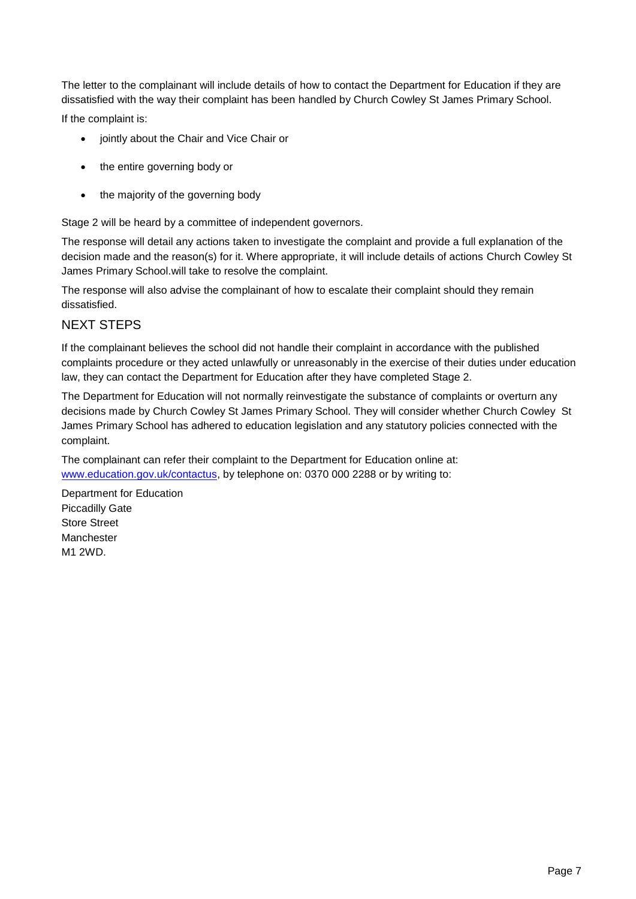The letter to the complainant will include details of how to contact the Department for Education if they are dissatisfied with the way their complaint has been handled by Church Cowley St James Primary School.

If the complaint is:

- jointly about the Chair and Vice Chair or
- the entire governing body or
- the majority of the governing body

Stage 2 will be heard by a committee of independent governors.

The response will detail any actions taken to investigate the complaint and provide a full explanation of the decision made and the reason(s) for it. Where appropriate, it will include details of actions Church Cowley St James Primary School.will take to resolve the complaint.

The response will also advise the complainant of how to escalate their complaint should they remain dissatisfied.

### NEXT STEPS

If the complainant believes the school did not handle their complaint in accordance with the published complaints procedure or they acted unlawfully or unreasonably in the exercise of their duties under education law, they can contact the Department for Education after they have completed Stage 2.

The Department for Education will not normally reinvestigate the substance of complaints or overturn any decisions made by Church Cowley St James Primary School. They will consider whether Church Cowley St James Primary School has adhered to education legislation and any statutory policies connected with the complaint.

The complainant can refer their complaint to the Department for Education online at: [www.education.gov.uk/contactus,](http://www.education.gov.uk/contactus) by telephone on: 0370 000 2288 or by writing to:

Department for Education Piccadilly Gate Store Street **Manchester** M1 2WD.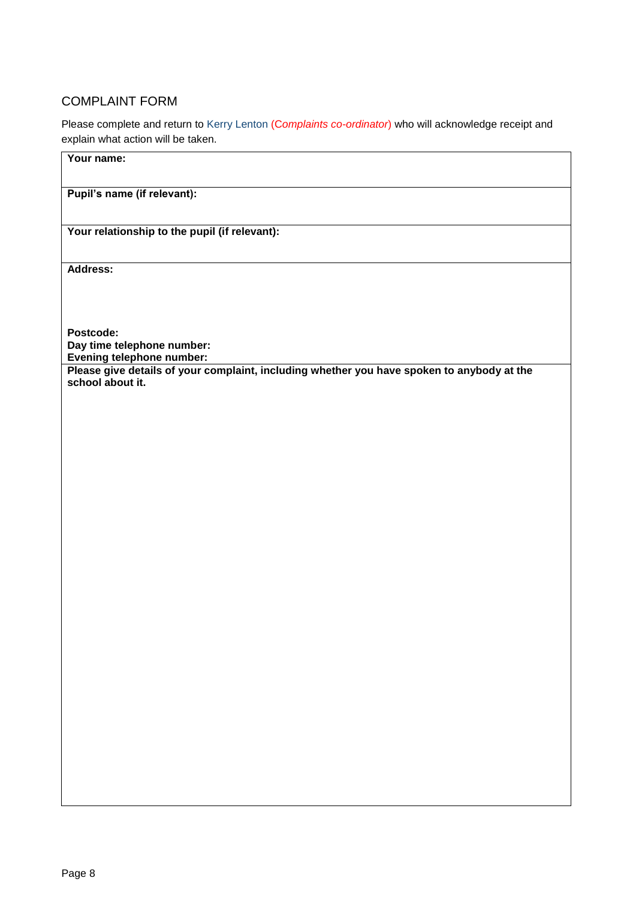### COMPLAINT FORM

Please complete and return to Kerry Lenton (C*omplaints co-ordinator*) who will acknowledge receipt and explain what action will be taken.

| Your name:                                                                                                     |
|----------------------------------------------------------------------------------------------------------------|
| Pupil's name (if relevant):                                                                                    |
| Your relationship to the pupil (if relevant):                                                                  |
| Address:                                                                                                       |
| Postcode:<br>Day time telephone number:<br>Evening telephone number:                                           |
| Please give details of your complaint, including whether you have spoken to anybody at the<br>school about it. |
|                                                                                                                |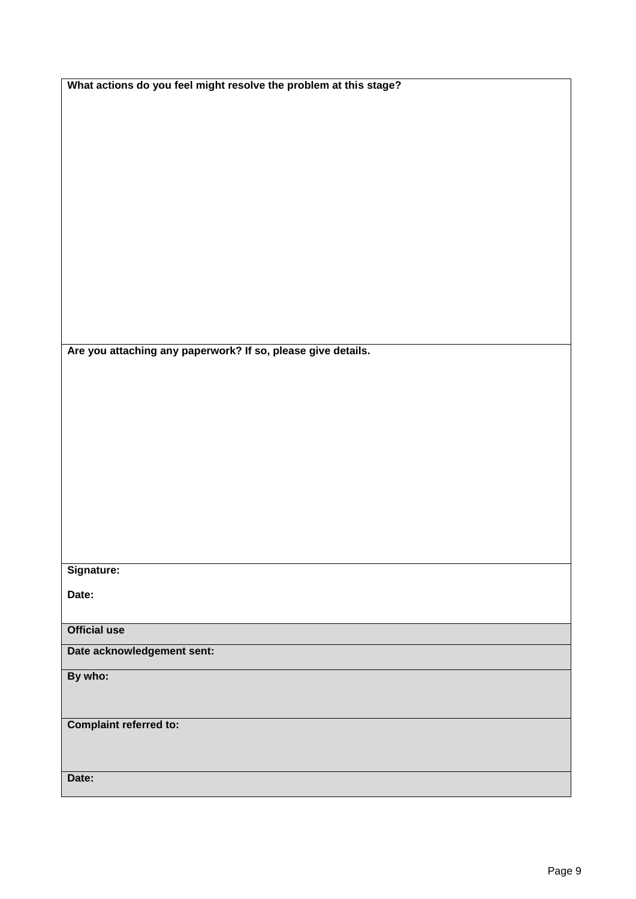| What actions do you feel might resolve the problem at this stage? |  |  |
|-------------------------------------------------------------------|--|--|
|                                                                   |  |  |
|                                                                   |  |  |
|                                                                   |  |  |
|                                                                   |  |  |
|                                                                   |  |  |
|                                                                   |  |  |
|                                                                   |  |  |
|                                                                   |  |  |
|                                                                   |  |  |
|                                                                   |  |  |
|                                                                   |  |  |
|                                                                   |  |  |
|                                                                   |  |  |
|                                                                   |  |  |
|                                                                   |  |  |
| Are you attaching any paperwork? If so, please give details.      |  |  |
|                                                                   |  |  |
|                                                                   |  |  |
|                                                                   |  |  |
|                                                                   |  |  |
|                                                                   |  |  |
|                                                                   |  |  |
|                                                                   |  |  |
|                                                                   |  |  |
|                                                                   |  |  |
|                                                                   |  |  |
|                                                                   |  |  |
|                                                                   |  |  |
|                                                                   |  |  |
| Signature:                                                        |  |  |
| Date:                                                             |  |  |
|                                                                   |  |  |
| <b>Official use</b>                                               |  |  |
| Date acknowledgement sent:                                        |  |  |
|                                                                   |  |  |
| By who:                                                           |  |  |
|                                                                   |  |  |
|                                                                   |  |  |
| <b>Complaint referred to:</b>                                     |  |  |
|                                                                   |  |  |
|                                                                   |  |  |
| Date:                                                             |  |  |
|                                                                   |  |  |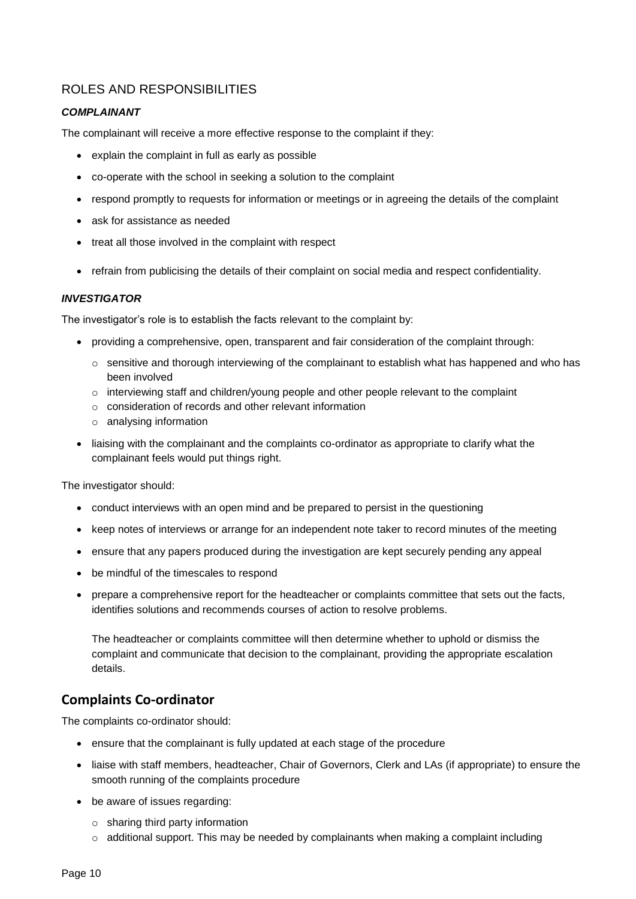### ROLES AND RESPONSIBILITIES

#### *COMPLAINANT*

The complainant will receive a more effective response to the complaint if they:

- explain the complaint in full as early as possible
- co-operate with the school in seeking a solution to the complaint
- respond promptly to requests for information or meetings or in agreeing the details of the complaint
- ask for assistance as needed
- treat all those involved in the complaint with respect
- refrain from publicising the details of their complaint on social media and respect confidentiality.

#### *INVESTIGATOR*

The investigator's role is to establish the facts relevant to the complaint by:

- providing a comprehensive, open, transparent and fair consideration of the complaint through:
	- $\circ$  sensitive and thorough interviewing of the complainant to establish what has happened and who has been involved
	- $\circ$  interviewing staff and children/young people and other people relevant to the complaint
	- o consideration of records and other relevant information
	- o analysing information
- liaising with the complainant and the complaints co-ordinator as appropriate to clarify what the complainant feels would put things right.

The investigator should:

- conduct interviews with an open mind and be prepared to persist in the questioning
- keep notes of interviews or arrange for an independent note taker to record minutes of the meeting
- ensure that any papers produced during the investigation are kept securely pending any appeal
- be mindful of the timescales to respond
- prepare a comprehensive report for the headteacher or complaints committee that sets out the facts, identifies solutions and recommends courses of action to resolve problems.

The headteacher or complaints committee will then determine whether to uphold or dismiss the complaint and communicate that decision to the complainant, providing the appropriate escalation details.

### **Complaints Co-ordinator**

The complaints co-ordinator should:

- ensure that the complainant is fully updated at each stage of the procedure
- liaise with staff members, headteacher, Chair of Governors, Clerk and LAs (if appropriate) to ensure the smooth running of the complaints procedure
- be aware of issues regarding:
	- o sharing third party information
	- $\circ$  additional support. This may be needed by complainants when making a complaint including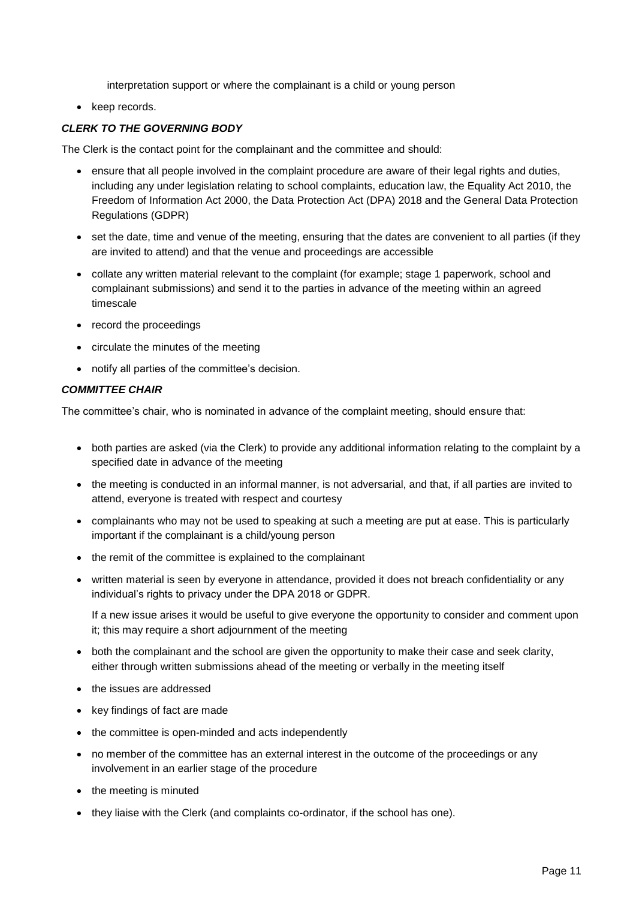interpretation support or where the complainant is a child or young person

• keep records.

#### *CLERK TO THE GOVERNING BODY*

The Clerk is the contact point for the complainant and the committee and should:

- ensure that all people involved in the complaint procedure are aware of their legal rights and duties, including any under legislation relating to school complaints, education law, the Equality Act 2010, the Freedom of Information Act 2000, the Data Protection Act (DPA) 2018 and the General Data Protection Regulations (GDPR)
- set the date, time and venue of the meeting, ensuring that the dates are convenient to all parties (if they are invited to attend) and that the venue and proceedings are accessible
- collate any written material relevant to the complaint (for example; stage 1 paperwork, school and complainant submissions) and send it to the parties in advance of the meeting within an agreed timescale
- record the proceedings
- circulate the minutes of the meeting
- notify all parties of the committee's decision.

#### *COMMITTEE CHAIR*

The committee's chair, who is nominated in advance of the complaint meeting, should ensure that:

- both parties are asked (via the Clerk) to provide any additional information relating to the complaint by a specified date in advance of the meeting
- the meeting is conducted in an informal manner, is not adversarial, and that, if all parties are invited to attend, everyone is treated with respect and courtesy
- complainants who may not be used to speaking at such a meeting are put at ease. This is particularly important if the complainant is a child/young person
- the remit of the committee is explained to the complainant
- written material is seen by everyone in attendance, provided it does not breach confidentiality or any individual's rights to privacy under the DPA 2018 or GDPR.

If a new issue arises it would be useful to give everyone the opportunity to consider and comment upon it; this may require a short adjournment of the meeting

- both the complainant and the school are given the opportunity to make their case and seek clarity, either through written submissions ahead of the meeting or verbally in the meeting itself
- the issues are addressed
- key findings of fact are made
- the committee is open-minded and acts independently
- no member of the committee has an external interest in the outcome of the proceedings or any involvement in an earlier stage of the procedure
- the meeting is minuted
- they liaise with the Clerk (and complaints co-ordinator, if the school has one).